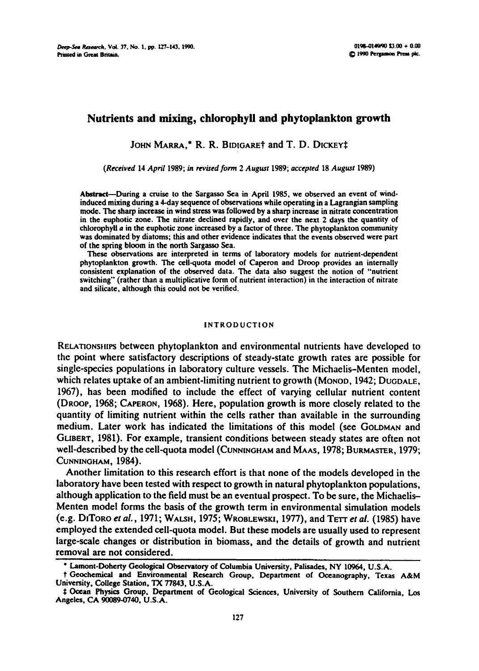# **Nutrients and mixing, chlorophyll and phytoplankton growth**

**JOHN MARRA,\* R. R. BIDIGARET and T. D. DICKEY!** 

*(Received* 14 *April* 1989;/n *revised form 2 August* 1989; *accepted* 18 *August* 1989)

Abstract--During a cruise to the Sargasso Sea **in April 1985, we observed an event of windinduced** mixing during a 4-day **sequence of observations while operating** in a **Lagrangian sampling mode. The sharp increase in wind stress was followed** by a **sharp increase in nitrate concentration in the euphoric zone. The nitrate declined rapidly, and over the next** 2 days **the quantity of chlorophyll a in the ¢uphotic zone increased** by a **factor of three. The phytoplankton community was dominated by diatoms; this and other evidence indicates that the events observed were** part **of the spring bloom in the north Sargasso** Sea.

**These observations are interpreted in terms of laboratory models for nutrient-dependent phytoplankton growth. The cell-quota model of Caperon and Droop provides an internally consistent explanation of the observed data. The data also suggest the notion of** "nutrient **switching" (rather than a multiplicative form of nutrient interaction) in the interaction of nitrate and silicate, although this could not be verified.** 

### **INTRODUCTION**

**RELATIONStlIPS between phytoplankton and environmental nutrients have developed to the point where satisfactory descriptions of steady-state growth rates are possible for single-species populations in laboratory culture vessels. The Michaelis-Menten model, which relates uptake of an ambient-limiting nutrient to growth (MoNoD, 1942; DUGDALE, 1967), has been modified to include the effect of varying cellular nutrient content**  (DROOP, 1968; CAPERON, 1968). Here, population growth is more closely related to the **quantity of limiting nutrient within the cells rather than available in the surrounding medium. Later work has indicated the limitations of this model (see GOLDM^N and GUSEaT, 1981). For example, transient conditions between steady states are often not well-described by the cell-quota model (CUNNINGHAM and MAAS, 1978; BURMASTER, 1979; CUNNINGHAM, 1984).** 

**Another limitation to this research effort is that none of the models developed in the laboratory have been tested with respect to growth in natural phytoplankton populations, although application to the field must be an eventual prospect. To be sure, the Michaelis-Menten model forms the basis of the growth term in environmental simulation models (e.g. DiToro** *et al.***, 1971; WALSH, 1975; WROBLEWSKI, 1977), and TETT** *et al.* **(1985) have employed the extended cell-quota model. But these models are usually used to represent large-scale changes or distribution in biomass, and the details of growth and nutrient removal are not considered.** 

<sup>\*</sup> **Lamont-Doherty Geological Observatory of Columbia University, Palisades,** NY 10964, U.S.A.

**f Geochemical and Environmental Research Group, Department of Oceanography, Texas A&M**  University, College Station, TX 77843, U.S.A.

**<sup>1:</sup> Ocean Physics Group, Department of Geological Sciences, University of Southern California,** Los **Angeles,** CA 90089-0740, U.S.A.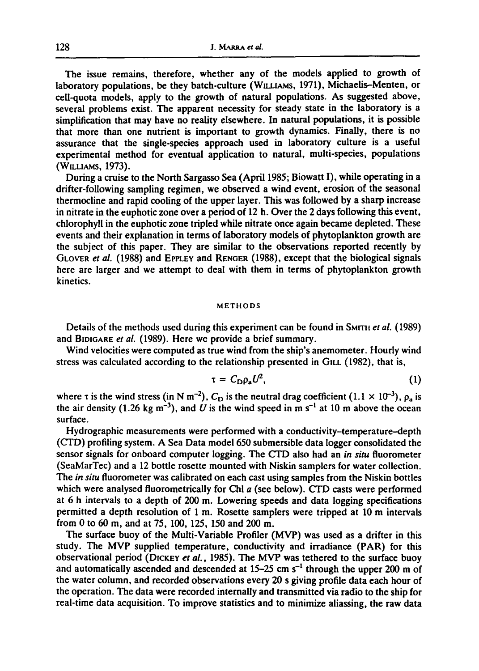The issue remains, therefore, whether any of the models applied to growth of laboratory populations, be they batch-culture (WILLIAMS, 1971), Michaelis-Menten, or cell-quota models, apply to the growth of natural populations. As suggested above, several problems exist. The apparent necessity for steady state in the laboratory is a simplification that may have no reality elsewhere. In natural populations, it is possible that more than one nutrient is important to growth dynamics. Finally, there is no assurance that the single-species approach used in laboratory culture is a useful experimental method for eventual application to natural, multi-species, populations (WILLIAMS, 1973).

During a cruise to the North Sargasso Sea (April 1985; Biowatt I), while operating in a drifter-following sampling regimen, we observed a wind event, erosion of the seasonal thermocline and rapid cooling of the upper layer. This was followed by a sharp increase in nitrate in the euphotic zone over a period of 12 h. Over the 2 days following this event, chlorophyll in the euphotic zone tripled while nitrate once again became depleted. These events and their explanation in terms of laboratory models of phytoplankton growth are the subject of this paper. They are similar to the observations reported recently by GLOVER *et al.* (1988) and EPPLEY and RENGER (1988), except that the biological signals here are larger and we attempt to deal with them in terms of phytoplankton growth kinetics.

## METHODS

Details of the methods used during this experiment can be found in SMITH et al. (1989) and BIDIGARE et al. (1989). Here we provide a brief summary.

Wind velocities were computed as true wind from the ship's anemometer. Hourly wind stress was calculated according to the relationship presented in GILL (1982), that is,

$$
\tau = C_{D}\rho_{a}U^{2}, \qquad (1)
$$

where  $\tau$  is the wind stress (in N m<sup>-2</sup>),  $C_D$  is the neutral drag coefficient (1.1  $\times$  10<sup>-3</sup>),  $\rho_a$  is the air density (1.26 kg m<sup>-3</sup>), and U is the wind speed in m s<sup>-1</sup> at 10 m above the ocean surface.

Hydrographic measurements were performed with a conductivity-temperature-depth (CTD) profiling system. A Sea Data model 650 submersible data logger consolidated the sensor signals for onboard computer logging. The CTD also had an *in situ* fluorometer (SeaMarTec) and a 12 bottle rosette mounted with Niskin samplers for water collection. *The in situ* fluorometer was calibrated on each cast using samples from the Niskin bottles which were analysed fluorometrically for Chl a (see below). CTD casts were performed at 6 h intervals to a depth of 200 m. Lowering speeds and data logging specifications permitted a depth resolution of 1 m. Rosette samplers were tripped at 10 m intervals from 0 to 60 m, and at 75, 100, 125, 150 and 200 m.

The surface buoy of the Multi-Variable Profiler (MVP) was used as a drifter in this study. The MVP supplied temperature, conductivity and irradiance (PAR) for this observational period (DicKEY *et aL,* 1985). The MVP was tethered to the surface buoy and automatically ascended and descended at  $15-25$  cm  $s^{-1}$  through the upper 200 m of the water column, and recorded observations every 20 s giving profile data each hour of the operation. The data were recorded internally and transmitted via radio to the ship for real-time data acquisition. To improve statistics and to minimize aliassing, the raw data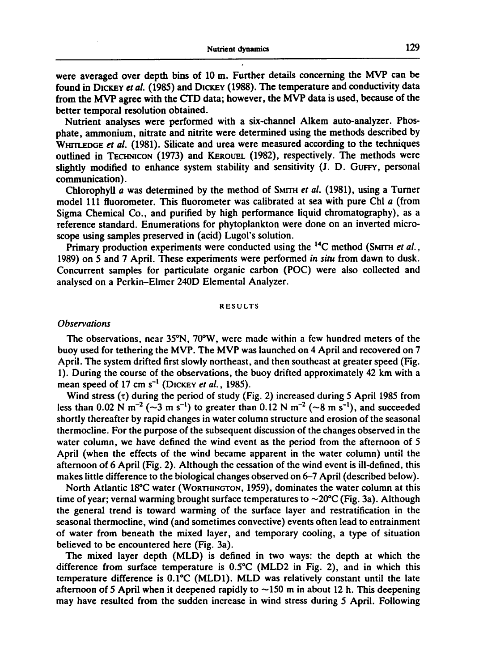were averaged over depth bins of 10 m. Further details concerning the MVP can be found in DICKEY *et al.* (1985) and DICKEY (1988). The temperature and conductivity data from the MVP agree with the CTD data; however, the MVP data is used, because of the better temporal resolution obtained.

Nutrient analyses were performed with a six-channel Alkem auto-analyzer. Phosphate, ammonium, nitrate and nitrite were determined using the methods described by WHITLEDGE et al. (1981). Silicate and urea were measured according to the techniques outlined in TECHNICON (1973) and KEROUEL (1982), respectively. The methods were slightly modified to enhance system stability and sensitivity (J. D. GUFFY, personal communication).

Chlorophyll a was determined by the method of SMITH et al. (1981), using a Turner model 111 fluorometer. This fluorometer was calibrated at sea with pure Chl a (from Sigma Chemical Co., and purified by high performance liquid chromatography), as a reference standard. Enumerations for phytoplankton were done on an inverted microscope using samples preserved in (acid) Lugol's solution.

Primary production experiments were conducted using the <sup>14</sup>C method (SMITH et al., 1989) on 5 and 7 April. These experiments were performed *in situ* from dawn to dusk. Concurrent samples for particulate organic carbon (POC) were also collected and analysed on a Perkin-Eimer 240D Elemental Analyzer.

# RESULTS

# *Observations*

The observations, near 35°N, 70°W, were made within a few hundred meters of the buoy used for tethering the MVP. The MVP was launched on 4 April and recovered on 7 April. The system drifted first slowly northeast, and then southeast at greater speed (Fig. 1). During the course of the observations, the buoy drifted approximately 42 km with a mean speed of 17 cm s<sup>-1</sup> (DICKEY *et al.*, 1985).

Wind stress  $(t)$  during the period of study (Fig. 2) increased during 5 April 1985 from less than 0.02 N m<sup>-2</sup> ( $\sim$ 3 m s<sup>-1</sup>) to greater than 0.12 N m<sup>-2</sup> ( $\sim$ 8 m s<sup>-1</sup>), and succeeded shortly thereafter by rapid changes in water column structure and erosion of the seasonal thermocline. For the purpose of the subsequent discussion of the changes observed in the water column, we have defined the wind event as the period from the afternoon of 5 April (when the effects of the wind became apparent in the water column) until the afternoon of 6 April (Fig. 2). Although the cessation of the wind event is iU-defined, this makes little difference to the biological changes observed on 6-7 April (described below).

North Atlantic 18°C water (WORTHINGTON, 1959), dominates the water column at this time of year; vernal warming brought surface temperatures to ~20"C (Fig. 3a). Although the general trend is toward warming of the surface layer and restratification in the seasonal thermocline, wind (and sometimes convective) events often lead to entrainment of water from beneath the mixed layer, and temporary cooling, a type of situation believed to be encountered here (Fig. 3a).

The mixed layer depth (MLD) is defined in two ways: the depth at which the difference from surface temperature is 0.5°C (MLD2 in Fig. 2), and in which this temperature difference is 0.1\*C (MLD1). MLD was relatively constant until the late afternoon of 5 April when it deepened rapidly to  $\sim$ 150 m in about 12 h. This deepening may have resulted from the sudden increase in wind stress during 5 April. Following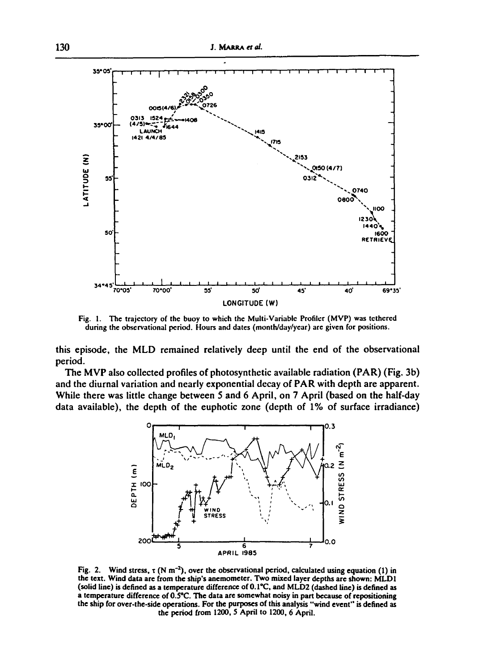

**Fig. !. The trajectory of the buoy to which the Multi-Variable Profiler (MVP) was tethered during the observational period. Hours and dates (month/day/year) are given for positions.** 

**this episode, the MLD remained relatively deep until the end of the observational period.** 

**The MVP also collected profiles of photosynthetic available radiation (PAR) (Fig. 3b) and the diurnal variation and nearly exponential decay of PAR with depth are apparent. While there was little change between 5 and 6 April, on 7 April (based on the half-day data available), the depth of the euphotic zone (depth of 1% of surface irradiance)** 



Fig. 2. Wind stress,  $\tau$  (N m<sup>-2</sup>), over the observational period, calculated using equation (1) in **the text. Wind data are from the ship's anemometer. Two mixed layer depths are shown: MLDI (solid line) is defined as a temperature difference of 0.1°C, and MLD2 (dashed line) is defined as**  a temperature difference of 0.5°C. The data are somewhat noisy in part because of repositioning **the ship for over-the-side operations. For the purposes of this analysis "wind event" is defined as the period from 1200, 5 April to 1200, 6 April.**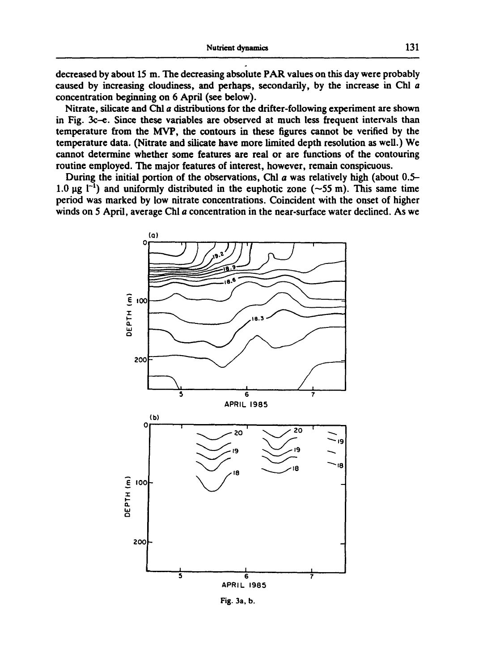decreased by about 15 m. The decreasing absolute PAR values on this day were probably caused by increasing cloudiness, and perhaps, secondarily, by the increase in Chl a concentration beginning on 6 April (see below).

Nitrate, silicate and Chl a distributions for the drifter-following experiment are shown in Fig. 3c-e. Since these variables are observed at much less frequent intervals than temperature from the MVP, the contours in these figures cannot be verified by the temperature data. (Nitrate and silicate have more limited depth resolution as well.) We cannot determine whether some features are real or are functions of the contouring routine employed. The major features of interest, however, remain conspicuous.

During the initial portion of the observations, Chl a was relatively high (about 0.5- 1.0  $\mu$ g l<sup>-1</sup>) and uniformly distributed in the euphotic zone ( $\sim$ 55 m). This same time period was marked by low nitrate concentrations. Coincident with the onset of higher winds on 5 April, average Chl a concentration in the near-surface water declined. As we



Fig. 3a, b.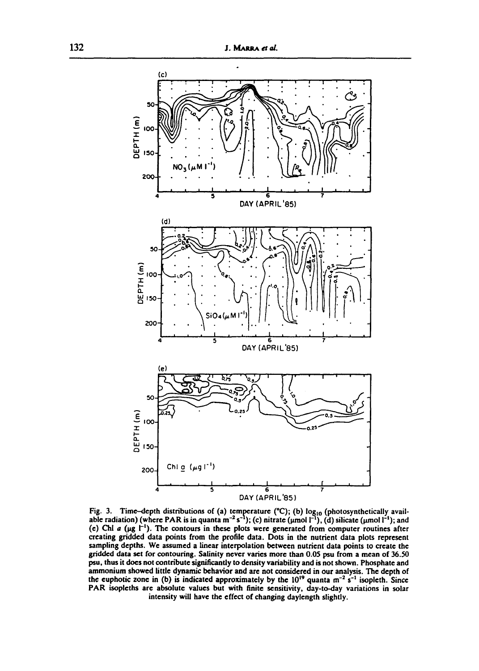

Fig. 3. Time-depth distributions of (a) temperature (°C); (b) log<sub>io</sub> (photosynthetically avail-<br>able radiation) (where PAR is in quanta m<sup>-2</sup> s<sup>-1</sup>); (c) nitrate (µmol l<sup>-1</sup>), (d) silicate (µmol l<sup>-1</sup>); and (e) Chl  $a$  ( $\mu$ g  $\Gamma$ <sup>1</sup>). The contours in these plots were generated from computer routines after creating gridded data points from the profile data. Dots in the nutrient data plots represent sampling depths. We assumed a linear interpolation between nutrient data points to create the gridded data set for contouring. Salinity never varies more than 0.05 psu from a mean of 36.50 psu, thus it does not contribute significantly to density variability and is not shown. Phosphate and ammonium showed little dynamic behavior and are not considered in our analysis. The depth of the euphotic zone in (b) is indicated approximately by the  $10^{19}$  quanta  $m^{-2} s^{-1}$  isopleth. Since PAR isopleths are absolute values but with finite sensitivity, day-to-day variations in solar intensity will have the effect of changing daylength slightly.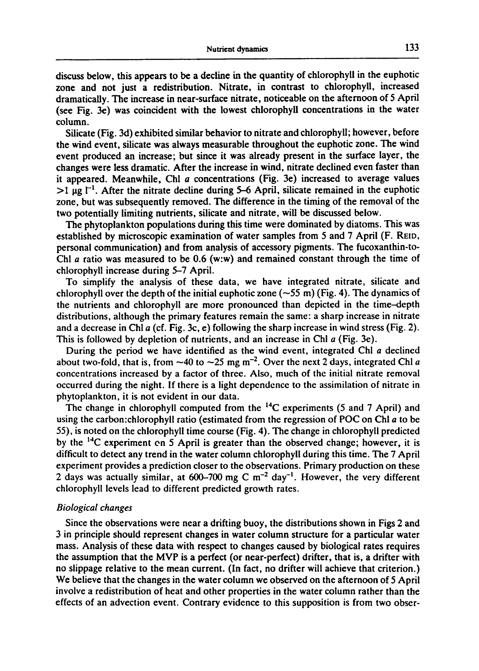discuss below, this appears to be a decline in the quantity of chlorophyll in the euphotic zone and not just a redistribution. Nitrate, in contrast to chlorophyll, increased dramatically. The increase in near-surface nitrate, noticeable on the afternoon of 5 April (see Fig. 3e) was coincident with the lowest chlorophyll concentrations in the water column.

Silicate (Fig. 3d) exhibited similar behavior to nitrate and chlorophyll; however, before the wind event, silicate was always measurable throughout the euphotic zone. The wind event produced an increase; but since it was already present in the surface layer, the changes were less dramatic. After the increase in wind, nitrate declined even faster than it appeared. Meanwhile, Chl  $a$  concentrations (Fig. 3e) increased to average values  $>1$  µg  $\Gamma$ <sup>1</sup>. After the nitrate decline during 5-6 April, silicate remained in the euphotic zone, but was subsequently removed. The difference in the timing of the removal of the two potentially limiting nutrients, silicate and nitrate, will be discussed below.

The phytoplankton populations during this time were dominated by diatoms. This was established by microscopic examination of water samples from 5 and 7 April (F. REID, personal communication) and from analysis of accessory pigments. The fucoxanthin-to-Chl  $a$  ratio was measured to be 0.6 (w:w) and remained constant through the time of chlorophyll increase during 5-7 April.

To simplify the analysis of these data, we have integrated nitrate, silicate and chlorophyll over the depth of the initial euphotic zone ( $\sim$ 55 m) (Fig. 4). The dynamics of the nutrients and chlorophyll are more pronounced than depicted in the time-depth distributions, although the primary features remain the same: a sharp increase in nitrate and a decrease in Chl a (cf. Fig. 3c, e) following the sharp increase in wind stress (Fig. 2). This is followed by depletion of nutrients, and an increase in Chl a (Fig. 3e).

During the period we have identified as the wind event, integrated Chl a declined about two-fold, that is, from  $\sim$ 40 to  $\sim$ 25 mg m<sup>-2</sup>. Over the next 2 days, integrated Chl a concentrations increased by a factor of three. Also, much of the initial nitrate removal occurred during the night. If there is a light dependence to the assimilation of nitrate in phytoplankton, it is not evident in our data.

The change in chlorophyll computed from the  $^{14}C$  experiments (5 and 7 April) and using the carbon:chlorophyll ratio (estimated from the regression of POC on Chl a to be 55), is noted on the chlorophyll time course (Fig. 4). The change in chlorophyll predicted by the 14C experiment on 5 April is greater than the observed change; however, it is difficult to detect any trend in the water column chlorophyll during this time. The 7 April experiment provides a prediction closer to the observations. Primary production on these 2 days was actually similar, at  $600-700$  mg C m<sup>-2</sup> day<sup>-1</sup>. However, the very different chlorophyll levels lead to different predicted growth rates.

# *Biological changes*

Since the observations were near a drifting buoy, the distributions shown in Figs 2 and 3 in principle should represent changes in water column structure for a particular water mass. Analysis of these data with respect to changes caused by biological rates requires the assumption that the MVP is a perfect (or near-perfect) drifter, that is, a drifter with no slippage relative to the mean current. (In fact, no drifter will achieve that criterion.) We believe that the changes in the water column we observed on the afternoon of 5 April involve a redistribution of heat and other properties in the water column rather than the effects of an advection event. Contrary evidence to this supposition is from two obser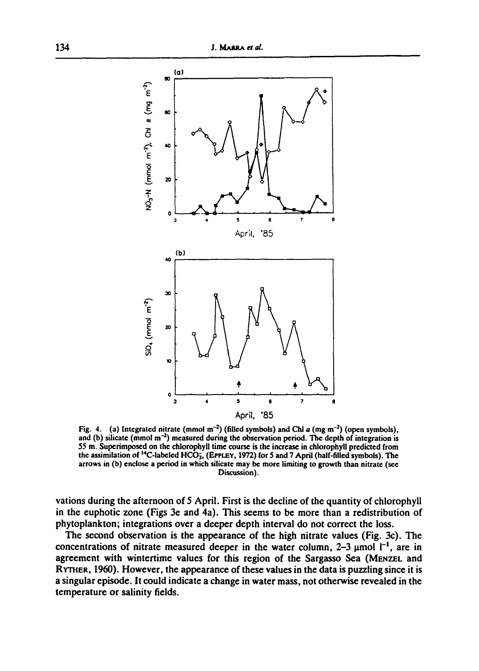r r



Fig. 4. (a) Integrated nitrate (mmol m<sup>-2</sup>) (filled symbols) and Chl a (mg m<sup>-2</sup>) (open symbols), and (b) silicate (mmol m<sup>-2</sup>) measured during the observation period. The depth of integration is **55 m. Superimposed on the chlorophyll time course is the increase in chlorophyll predicted from**  the assimilation of <sup>14</sup>C-labeled HCO<sub>3</sub>, (EPPLEY, 1972) for 5 and 7 April (half-filled symbols). The **arrows in (b) enclose a period in which silicate may be more limiting to growth than nitrate (see Discussion).** 

**vations during the afternoon of 5 April. First is the decline of the quantity of chlorophyll in the euphotic zone (Figs 3e and 4a). This seems to be more than a redistribution of phytoplankton; integrations over a deeper depth interval do not correct the loss.** 

**The second observation is the appearance of the high nitrate values (Fig. 3c). The**  concentrations of nitrate measured deeper in the water column,  $2-3 \mu$  mol  $I^{-1}$ , are in **agreement with wintertime values for this region of the Sargasso Sea (MENZEL and RVTaER, 1960). However, the appearance of these values in the data is puzzling since it is a singular episode. It could indicate a change in water mass, not otherwise revealed in the temperature or salinity fields.**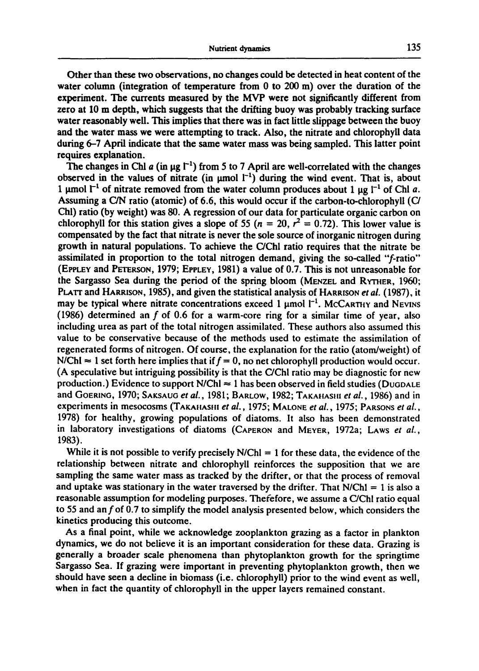Other than these two observations, no changes could be detected in beat content of the water column (integration of temperature from 0 to 200 m) over the duration of the experiment. The currents measured by the MVP were not significantly different from zero at 10 m depth, which suggests that the drifting buoy was probably tracking surface water reasonably well. This implies that there was in fact little slippage between the buoy and the water mass we were attempting to track. Also, the nitrate and chlorophyll data during 6-7 April indicate that the same water mass was being sampled. This latter point requires explanation.

The changes in Chl a (in  $\mu$ g  $\Gamma$ <sup>1</sup>) from 5 to 7 April are well-correlated with the changes observed in the values of nitrate (in  $\mu$ mol  $\Gamma^{-1}$ ) during the wind event. That is, about 1 umol  $\Gamma^1$  of nitrate removed from the water column produces about 1 µg  $\Gamma^1$  of Chl a. Assuming a C/N ratio (atomic) of 6.6, this would occur if the carbon-to-chlorophyll (CJ Chl) ratio (by weight) was 80. A regression of our data for particulate organic carbon on chlorophyll for this station gives a slope of 55 ( $n = 20$ ,  $r^2 = 0.72$ ). This lower value is compensated by the fact that nitrate is never the sole source of inorganic nitrogen during growth in natural populations. To achieve the C/Chl ratio requires that the nitrate be assimilated in proportion to the total nitrogen demand, giving the so-called "f-ratio" (EPPLEY and PETERSON, 1979; EPPLEY, 1981) a value of 0.7. This is not unreasonable for the Sargasso Sea during the period of the spring bloom (MENZEL and RYTHER,  $1960$ ; PLATT and HARRISON, 1985), and given the statistical analysis of HARRISON *et al.* (1987), it may be typical where nitrate concentrations exceed 1  $\mu$ mol  $I^{-1}$ . McCARTHY and NEVINS (1986) determined an  $f$  of 0.6 for a warm-core ring for a similar time of year, also including urea as part of the total nitrogen assimilated. These authors also assumed this value to be conservative because of the methods used to estimate the assimilation of regenerated forms of nitrogen. Of course, the explanation for the ratio (atom/weight) of  $N/Ch \approx 1$  set forth here implies that if  $f = 0$ , no net chlorophyll production would occur. (A speculative but intriguing possibility is that the CJChl ratio may be diagnostic for new production.) Evidence to support N/Chl  $\approx$  1 has been observed in field studies (DUGDALE and GOERING, 1970; SAKSAUG *et al.,* 1981; BARLOW, 1982; TAKAIIASII! *et al.,* 1986) and in experiments in mesocosms (TAKAllASIII *et al.,* 1975; MALONE *et al.,* 1975; PARSONS *et al.,*  1978) for healthy, growing populations of diatoms. It also has been demonstrated in laboratory investigations of diatoms (CAPERON and MEYER, 1972a; LAWS *et al.,*  1983).

While it is not possible to verify precisely  $N/Chl = 1$  for these data, the evidence of the relationship between nitrate and chlorophyll reinforces the supposition that we are sampling the same water mass as tracked by the drifter, or that the process of removal and uptake was stationary in the water traversed by the drifter. That  $N/Ch = 1$  is also a reasonable assumption for modeling purposes. Therefore, we assume a C/Chl ratio equal to 55 and an  $f$  of 0.7 to simplify the model analysis presented below, which considers the kinetics producing this outcome.

As a final point, while we acknowledge zooplankton grazing as a factor in plankton dynamics, we do not believe it is an important consideration for these data. Grazing is generally a broader scale phenomena than phytoplankton growth for the springtime Sargasso Sea. If grazing were important in preventing phytoplankton growth, then we should have seen a decline in biomass (i.e. chlorophyll) prior to the wind event as well, when in fact the quantity of chlorophyll in the upper layers remained constant.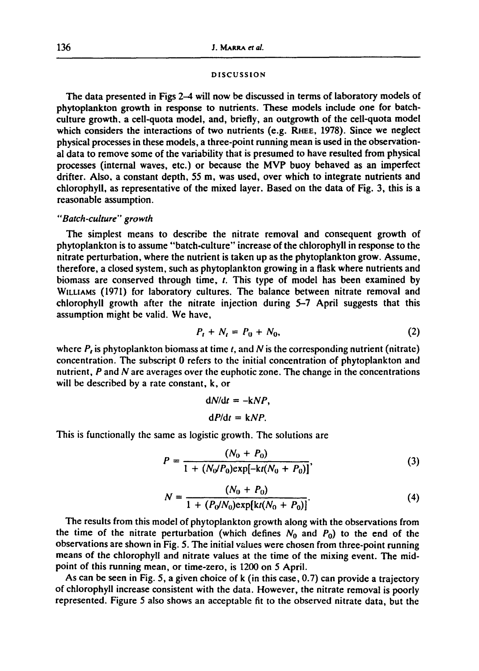### DISCUSSION

The data presented in Figs 2-4 will now be discussed in terms of laboratory models of phytoplankton growth in response to nutrients. These models include one for batchculture growth, a cell-quota model, and, briefly, an outgrowth of the cell-quota model which considers the interactions of two nutrients (e.g. RHEE, 1978). Since we neglect physical processes in these models, a three-point running mean is used in the observational data to remove some of the variability that is presumed to have resulted from physical processes (internal waves, etc.) or because the MVP buoy behaved as an imperfect drifter. Also, a constant depth, 55 m, was used, over which to integrate nutrients and chlorophyll, as representative of the mixed layer. Based on the data of Fig. 3, this is a reasonable assumption.

# *"'Batch-culture" growth*

The simplest means to describe the nitrate removal and consequent growth of phytoplankton is to assume "batch-culture" increase of the chlorophyll in response to the nitrate perturbation, where the nutrient is taken up as the phytoplankton grow. Assume, therefore, a closed system, such as phytoplankton growing in a flask where nutrients and biomass are conserved through time,  $t$ . This type of model has been examined by WILLIAMS (1971) for laboratory cultures. The balance between nitrate removal and chlorophyll growth after the nitrate injection during 5-7 April suggests that this assumption might be valid. We have,

$$
P_t + N_t = P_0 + N_0, \qquad (2)
$$

where  $P_t$  is phytoplankton biomass at time  $t$ , and  $N$  is the corresponding nutrient (nitrate) concentration. The subscript 0 refers to the initial concentration of phytoplankton and nutrient, P and N are averages over the euphotic zone. The change in the concentrations will be described by a rate constant, k, or

$$
dN/dt = -kNP,
$$
  

$$
dP/dt = kNP.
$$

 $\mathbb{R}^{\mathbb{Z}}$ 

This is functionally the same as logistic growth. The solutions are

$$
P = \frac{(N_0 + P_0)}{1 + (N_0/P_0) \exp[-kt(N_0 + P_0)]},
$$
\n(3)

$$
N = \frac{(N_0 + P_0)}{1 + (P_0/N_0) \exp[kt(N_0 + P_0)]}.
$$
 (4)

The results from this model of phytoplankton growth along with the observations from the time of the nitrate perturbation (which defines  $N_0$  and  $P_0$ ) to the end of the observations are shown in Fig. 5. The initial values were chosen from three-point running means of the chlorophyll and nitrate values at the time of the mixing event. The midpoint of this running mean, or time-zero, is 1200 on 5 April.

As can be seen in Fig. 5, a given choice of k (in this case, 0.7) can provide a trajectory of chlorophyll increase consistent with the data. However, the nitrate removal is poorly represented. Figure 5 also shows an acceptable fit to the observed nitrate data, but the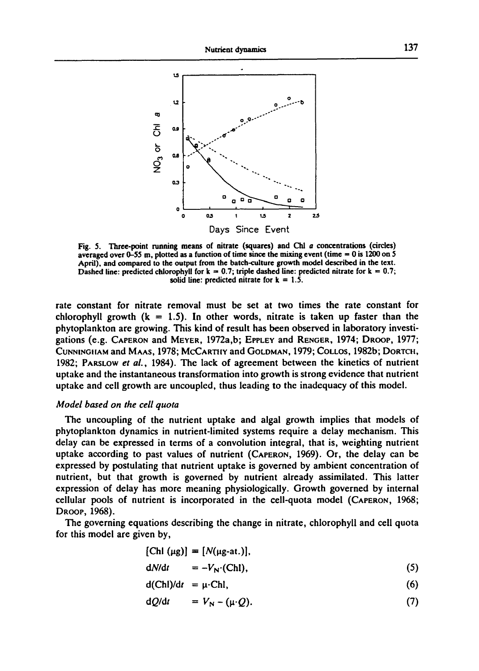

Fig. 5. Three-point running means of nitrate (squares) and Chl a concentrations (circles) averaged over 0-55 m, plotted as a function of time since the *mixing* event (time = 0 is 1200 on 5 April), and compared to the output from the batch-culture growth model described in the text. Dashed line: predicted chlorophyll for  $k = 0.7$ ; triple dashed line: predicted nitrate for  $k = 0.7$ ; solid line: predicted nitrate for  $k = 1.5$ .

rate constant for nitrate removal must be set at two times the rate constant for chlorophyll growth  $(k = 1.5)$ . In other words, nitrate is taken up faster than the phytoplankton are growing. This kind of result has been observed in laboratory investigations (e.g. CAPERON and MEYER, 1972a,b; EPPLEY and RENGER, 1974; DROOP, 1977; CUNNINGHAM and MAAS, 1978; McCARTHY and GOLDMAN, 1979; COLLOS, 1982b; DORTCH, 1982; PARSLOW *et al.,* 1984). The lack of agreement between the kinetics of nutrient uptake and the instantaneous transformation into growth is strong evidence that nutrient uptake and cell growth are uncoupled, thus leading to the inadequacy of this model.

# *Model based on the cell quota*

The uncoupling of the nutrient uptake and algal growth implies that models of phytoplankton dynamics in nutrient-limited systems require a delay mechanism. This delay can be expressed in terms of a convolution integral, that is, weighting nutrient uptake according to past values of nutrient (CAPERON, 1969). Or, the delay can be expressed by postulating that nutrient uptake is governed by ambient concentration of nutrient, but that growth is governed by nutrient already assimilated. This latter expression of delay has more meaning physiologically. Growth governed by internal cellular pools of nutrient is incorporated in the cell-quota model (CAPERON, 1968; DROOP, 1968).

The governing equations describing the change in nitrate, chlorophyll and cell quota for this model are given by,

$$
[ChI (\mu g)] = [N(\mu g \text{-at.})],
$$

$$
dN/dt = -V_{N'}(Chl), \qquad (5)
$$

$$
d(Chl)/dt = \mu \cdot Chl, \qquad (6)
$$

$$
dQ/dt = V_N - (\mu \cdot Q). \tag{7}
$$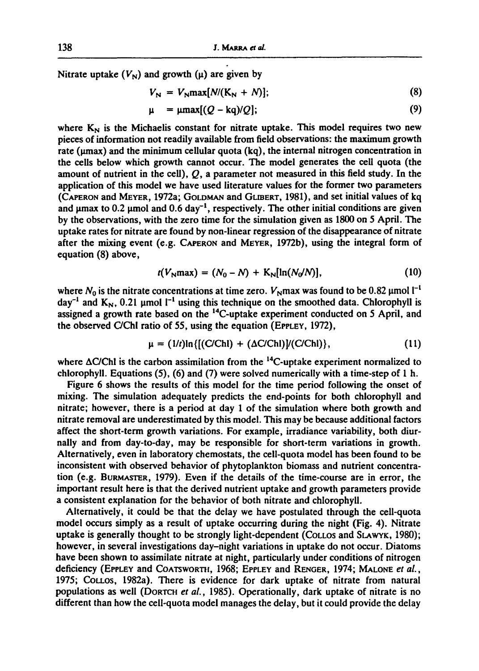Nitrate uptake  $(V_N)$  and growth ( $\mu$ ) are given by

$$
V_N = V_N \max[N/(K_N + N)]; \tag{8}
$$

$$
\mu = \mu \max[(Q - kq)/Q]; \tag{9}
$$

where  $K_N$  is the Michaelis constant for nitrate uptake. This model requires two new pieces of information not readily available from field observations: the maximum growth rate ( $\mu$ max) and the minimum cellular quota (kq), the internal nitrogen concentration in the cells below which growth cannot occur. The model generates the cell quota (the amount of nutrient in the cell),  $Q$ , a parameter not measured in this field study. In the application of this model we have used literature values for the former two parameters (CAPERON and MEYER, 1972a; GOLDMAN and GLIBERT, 1981), and set initial values of kq and  $\mu$ max to 0.2  $\mu$ mol and 0.6 day<sup>-1</sup>, respectively. The other initial conditions are given by the observations, with the zero time for the simulation given as 1800 on 5 April. The uptake rates for nitrate are found by non-linear regression of the disappearance of nitrate after the mixing event (e.g. Caperon and MEYER, 1972b), using the integral form of equation (8) above,

$$
t(VNmax) = (N0 - N) + KN[ln(N0/N)], \t(10)
$$

where  $N_0$  is the nitrate concentrations at time zero.  $V_N$ max was found to be 0.82 µmol  $I^{-1}$ day<sup>-1</sup> and  $K_N$ , 0.21 µmol  $l^{-1}$  using this technique on the smoothed data. Chlorophyll is assigned a growth rate based on the  $^{14}$ C-uptake experiment conducted on 5 April, and the observed C/Chi ratio of 55, using the equation (EPFLEV, 1972),

$$
\mu = (1/t)\ln\{[(C/Chl) + (\Delta C/Chl)]/(C/Chl)\},\tag{11}
$$

where  $\Delta C/C$ hl is the carbon assimilation from the <sup>14</sup>C-uptake experiment normalized to chlorophyll. Equations (5), (6) and (7) were solved numerically with a time-step of I h.

Figure 6 shows the results of this model for the time period following the onset of mixing. The simulation adequately predicts the end-points for both chlorophyll and nitrate; however, there is a period at day I of the simulation where both growth and nitrate removal are underestimated by this model. This may be because additional factors affect the short-term growth variations. For example, irradiance variability, both diurnally and from day-to-day, may be responsible for short-term variations in growth. Alternatively, even in laboratory chemostats, the cell-quota model has been found to be inconsistent with observed behavior of phytoplankton biomass and nutrient concentration (e.g. BURMASTER, 1979). Even if the details of the time-course are in error, the important result here is that the derived nutrient uptake and growth parameters provide a consistent explanation for the behavior of both nitrate and chlorophyll.

Alternatively, it could be that the delay we have postulated through the cell-quota model occurs simply as a result of uptake occurring during the night (Fig. 4). Nitrate uptake is generally thought to be strongly light-dependent (COLLOS and SLAWYK, 1980); however, in several investigations day-night variations in uptake do not occur. Diatoms have been shown to assimilate nitrate at night, particularly under conditions of nitrogen deficiency (EPPLEY and COATSWORTH, 1968; EPPLEY and RENGER, 1974; MALONE et al., 1975; CoLLos, 1982a). There is evidence for dark uptake of nitrate from natural populations as well (DoRTCH *et al.,* 1985). Operationally, dark uptake of nitrate is no different than how the cell-quota model manages the delay, but it could provide the delay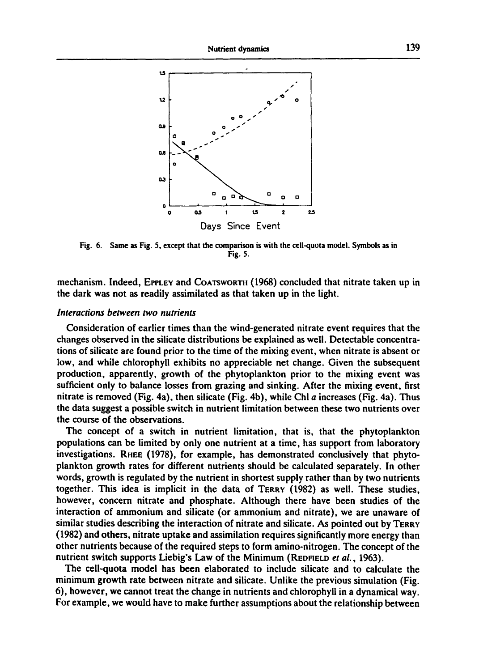

Fig. 6. Same as Fig. 5, except that the comparison is with the cell-quota model. Symbols as in Fig. 5.

mechanism. Indeed, EPPLEY and COATSWORTH (1968) concluded that nitrate taken up in the dark was not as readily assimilated as that taken up in the light.

# *Interactions between two nutrients*

Consideration of earlier times than the wind-generated nitrate event requires that the changes observed in the silicate distributions be explained as well. Detectable concentrations of silicate are found prior to the time of the mixing event, when nitrate is absent or low, and while chlorophyll exhibits no appreciable net change. Given the subsequent production, apparently, growth of the phytoplankton prior to the mixing event was sufficient only to balance losses from grazing and sinking. After the mixing event, first nitrate is removed (Fig. 4a), then silicate (Fig. 4b), while Chl  $a$  increases (Fig. 4a). Thus the data suggest a possible switch in nutrient limitation between these two nutrients over the course of the observations.

The concept of a switch in nutrient limitation, that is, that the phytoplankton populations can be limited by only one nutrient at a time, has support from laboratory investigations. RHEE (1978), for example, has demonstrated conclusively that phytoplankton growth rates for different nutrients should be calculated separately. In other words, growth is regulated by the nutrient in shortest supply rather than by two nutrients together. This idea is implicit in the data of TERRY (1982) as well. These studies, however, concern nitrate and phosphate. Although there have been studies of the interaction of ammonium and silicate (or ammonium and nitrate), we are unaware of similar studies describing the interaction of nitrate and silicate. As pointed out by TERRY (1982) and others, nitrate uptake and assimilation requires significantly more energy than other nutrients because of the required steps to form amino-nitrogen. The concept of the nutrient switch supports Liebig's Law of the Minimum (REDFIELD *et al.*, 1963).

The cell-quota model has been elaborated to include silicate and to calculate the minimum growth rate between nitrate and silicate. Unlike the previous simulation (Fig. 6), however, we cannot treat the change in nutrients and chlorophyll in a dynamical way. For example, we would have to make further assumptions about the relationship between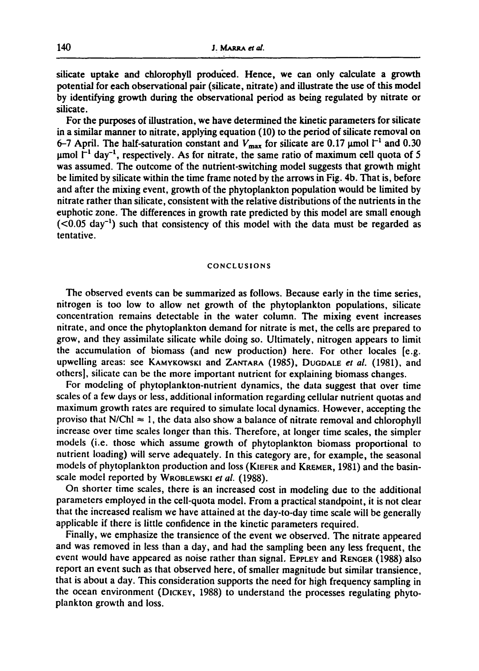silicate uptake and chlorophyll produced. Hence, we can only calculate a growth potential for each observational pair (silicate, nitrate) and illustrate the use of this model by identifying growth during the observational period as being regulated by nitrate or silicate.

For the purposes of illustration, we have determined the kinetic parameters for silicate in a similar manner to nitrate, applying equation (10) to the period of silicate removal on 6–7 April. The half-saturation constant and  $V_{\text{max}}$  for silicate are 0.17 µmol  $\Gamma^1$  and 0.30  $\mu$ mol  $\Gamma$ <sup>t</sup> day<sup>-1</sup>, respectively. As for nitrate, the same ratio of maximum cell quota of 5 was assumed. The outcome of the nutrient-switching model suggests that growth might be limited by silicate within the time frame noted by the arrows in Fig. 4b. That is, before and after the mixing event, growth of the phytoplankton population would be limited by nitrate rather than silicate, consistent with the relative distributions of the nutrients in the euphotic zone. The differences in growth rate predicted by this model are small enough  $(<0.05 \text{ day}^{-1})$  such that consistency of this model with the data must be regarded as tentative.

#### CONCLUSIONS

The observed events can be summarized as follows. Because early in the time series, nitrogen is too low to allow net growth of the phytoplankton populations, silicate concentration remains detectable in the water column. The mixing event increases nitrate, and once the phytoplankton demand for nitrate is met, the cells are prepared to grow, and they assimilate silicate while doing so. Ultimately, nitrogen appears to limit the accumulation of biomass (and new production) here. For other locales [e.g. upwelling areas: see KAMYKOWSK! and ZANTARA (1985), DUGDALE *el al.* (1981), and others], silicate can be the more important nutrient for explaining biomass changes.

For modeling of phytoplankton-nutrient dynamics, the data suggest that over time scales of a few days or less, additional information regarding cellular nutrient quotas and maximum growth rates are required to simulate local dynamics. However, accepting the proviso that N/Chl  $\approx$  1, the data also show a balance of nitrate removal and chlorophyll increase over time scales longer than this. Therefore, at longer time scales, the simpler models (i.e. those which assume growth of phytoplankton biomass proportional to nutrient loading) will serve adequately. In this category are, for example, the seasonal models of phytoplankton production and loss (KIEFER and KREMER, 1981) and the basinscale model reported by WROBLEWSKI *et al.* (1988).

On shorter time scales, there is an increased cost in modeling due to the additional parameters employed in the cell-quota model. From a practical standpoint, it is not clear that the increased realism we have attained at the day-to-day time scale will be generally applicable if there is little confidence in the kinetic parameters required.

Finally, we emphasize the transience of the event we observed. The nitrate appeared and was removed in less than a day, and had the sampling been any less frequent, the event would have appeared as noise rather than signal. EPPLEY and RENGER (1988) also report an event such as that observed here, of smaller magnitude but similar transience, that is about a day. This consideration supports the need for high frequency sampling in the ocean environment (DICKEY, 1988) to understand the processes regulating phytoplankton growth and loss.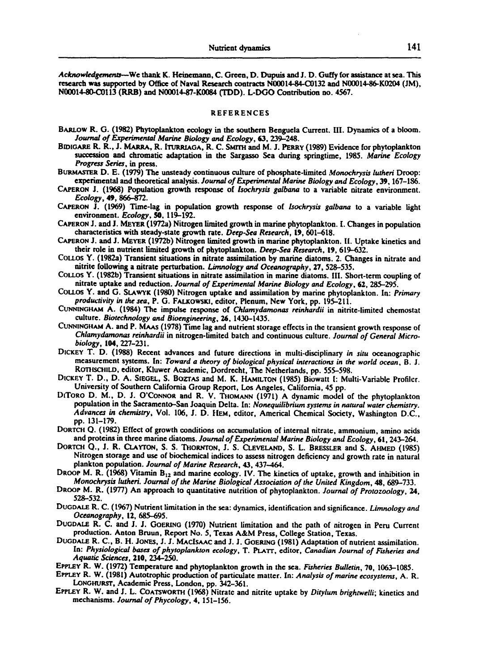Acknowledgements---We thank K. Heinemann, C. Green, D. Dupuis and J. D. Guffy for assistance at sea. This research was supported by Office of Naval Research contracts N00014-84-C0132 and N00014-86-K0204 (JM), N00014-80-C0113 (RRB) and N00014-87-K0084 (TDD). L-DGO Contribution no. 4567.

#### **REFERENCES**

- BARt.OW R. G. (1982) Phytoplankton ecology in the southern Benguela Current. Ill. Dynamics of a bloom. *Journal of Experimental Marine Biology and Ecology, 63, 239-248.*
- BIDIGARE R. R., J. MARRA, R. ITURRIAGA, R. C. SMITH and M. J. PERRY (1989) Evidence for phytoplankton succession and chromatic adaptation in the Sargasso Sea during springtime, 1985. *Marine Ecology*  Progress Series, in press.
- BURMASTER D. E. (1979) The unsteady continuous culture of phosphate-limited *Monochrysis lutheri* Droop: experimental and theoretical analysis. Journa/of *Experimental Marine Biology and Ecology,* 39, 167-186.
- CAPERON J. (1968) Population growth response of *lsochrysis galbana* to a variable nitrate environment. *Ecology,* 49, 866-872.
- CAI~ERON J. (1969) Tune-lag in population growth response of *lsochrysis galbana* to a variable light environment. *Ecology, 50. 119-192.*
- CAPERON J. and J. MEYER (1972a) Nitrogen limited growth in marine phytoplankton. I. Changes in population characteristics with steady-state growth rate. *Deep-Sea Research*, 19, 601-618.
- CAPERON J. and J. MEYER (1972b) Nitrogen limited growth in marine phytoplankton. II. Uptake kinetics and their role in nutrient limited growth of phytoplankton. *Deep-Sea Research,* 19, 619--632.
- COLLOS Y. (1982a) Transient situations in nitrate assimilation by marine diatoms. 2. Changes in nitrate and nitrite following a nitrate perturbation. *Limnology and Oceanography,* 27, 528-535.
- COLLOS Y. (1982b) Transient situations in nitrate assimilation in marine diatoms. III. Short-term coupling of nitrate uptake and reduction. *Journal of Experimental Marine Biology and Ecology, 62,* 285-295.
- Cot.Los Y. and G. St.aw'zK (1980) Nitrogen uptake and assimilation by marine phytoplankton. In: *Primary productivity in the sea, P. G. FALKOWSKI, editor, Plenum, New York, pp. 195-211.*
- CUNNINGHAM A. (1984) The impulse response of *Chlamydamonas reinhardii* in nitrite-limited chemostat culture. *Biotechnology and Bioengineering, 26,* 1430-1435.
- CUNNINGHAM A. and P. MAAS (1978) Time lag and nutrient storage effects in the transient growth response of *Chlamydamonas reinhardii* in nitrogen-fimited batch and continuous culture. *Journal of General Microbiology,* 104, 227-231,
- DICKEY T. D. (1988) Recent advances and future directions in multi-disciplinary *in situ* oceanographic measurement systems. In: *Toward a theory of biological physical interactions in the world ocean, B. J.*  ROTHSCHILD, editor, Kluwer Academic, Dordrecht, The Netherlands, pp. 555-598.
- DICKEY T. D., D. A. SIEGEL, S. BOZTAS and M. K. HAMILTON (1985) Biowatt I: Multi-Variable Profiler. University of Southern California Group Report, Los Angeles, California, 45 pp.
- DITORO D. M., D. J. O'CONNOR and R. V. THOMANN (1971) A dynamic model of the phytoplankton population in the Sacramento-San Joaquin Delta. In: *Nonequilibrium systems in natural water chemistry*. Advances in chemistry, Vol. 106, J. D. HEM, editor, Americal Chemical Society, Washington D.C., pp. 131-179.
- DORTCH Q. (1982) Effect of growth conditions on accumulation of internal nitrate, ammonium, amino acids and proteins in three marine diatoms. *Journal of Experimental Marine Biology and Ecology,* 61,243-264.
- DORTCH Q., J. R. CLAYTON, S. S. THORNTON, J. S. CLEVELAND, S. L. BRESSLER and S. AHMED (1985) Nitrogen storage and use of biochemical indices to assess nitrogen deficiency and growth rate in natural plankton population. *Journal of Marine Research, 43,* 437-464.
- DROOP M. R. (1968) Vitamin  $B_{12}$  and marine ecology. IV. The kinetics of uptake, growth and inhibition in *Monochrysis lutheri. Journal of the Marine Biological Association of the United Kingdom, 48,* 689-733.
- DROOP M. R. (1977) An approach to quantitative nutrition of phytoplankton. *Journal of Protozoology*, 24, 528-532.
- DUGDAI~ R. C. (1967) Nutrient limitation in the sea: dynamics, identification and significance. *Limnology and Oceanography,* 12, 685-695.
- DUGDALE R. C. and J. J. GOERING (1970) Nutrient limitation and the path of nitrogen in Peru Current production. Anton Bruun, Report No. 5, Texas A&M Press, College Station, Texas.
- DUGDALE R. C., B. H. JONES, J. J. MACISAAC and J. J. GOERING (1981) Adaptation of nutrient assimilation. In: *Physiological bases of phytoplankton ecology,* T. Pt.A'rr, editor, *Canadian Journal of Fisheries and Aquatic Sciences,* 210, 234-250.
- EPFLEY R. W. (1972) Temperature and phytoplankton growth in the sea. *Fisheries Bulletin,* 70, 1063-1085.
- EPPLEY R. W. (1981) Autotrophic production of particulate matter. In: *Analysis of marine ecosystems*, A. R. LONGHURST, Academic Press, London, pp. 342-361.
- EPrLE¥ R. W. and J. L. CO^TSWORTH (1968) Nitrate and nitrite uptake by *Ditylum brightwelli;* kinetics and mechanisms. *Journal of Phycology,* 4, 151-156.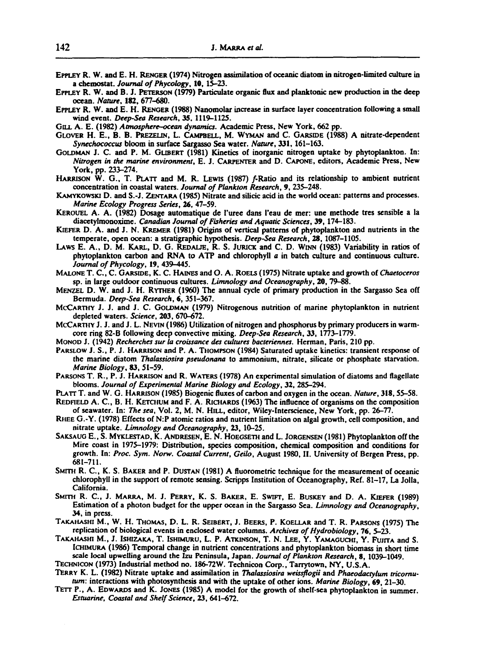- EPPLEY R. W. and E. H. RENGER (1974) Nitrogen assimilation of oceanic diatom in nitrogen-limited culture in *a chemostat. Journal of Phycology,* 1O, 15--23.
- EPPLEY R. W. and B. J. PETERSON (1979) Particulate organic flux and planktonic new production in the deep ocean. Nature, 182, 677-680.
- EPPL£Y R. W. and E. H. RENGER (1988) Nanomolar increase in surface layer concentration following a small wind event. *Deep-Sea Research, 3\$,* 1119-1125.
- GIIL A. E. (1982) *Amwsphere-ocean dynamics.* Academic Press, New York, 662 pp.

GLOVER H. E., B. B. PREZELIN, L. CAMPBELL, M. WYMAN and C. GARSIDE (1988) A nitrate-dependent *Synechococcus* bloom in surface Sargasso Sea water. *Nature,* 331,161-163.

- GOLDMAN J. C. and P. M. GLIBERT (1981) Kinetics of inorganic nitrogen uptake by phytoplankton. In: *Nitrogen in the marine environment,* E. J. CARPENTER and D. CAPONE, editors, Academic Press, New York, pp. 233-274.
- HARRISON W. G., T. PLATT and M. R. LEWIS (1987) f-Ratio and its relationship to ambient nutrient concentration in coastal waters. *)ournal of Plankton Research, 9, 235--248.*
- KAMYKOWSKI D. and S.-J. ZENTARA (1985) Nitrate and silicic acid in the world ocean: patterns and processes. *Marine Ecology Progress Series, 26,* 47-59.
- KEROUEL A. A. (1982) Dosage automatique de l'uree dans l'eau de mer: une methode tres sensible a la diacetylmonoxime. *Canadian Journal of Fisheries and Aquatic Sciences,* 39, 174-183.
- KIEFER D. A. and J. N. KREMER (1981) Origins of vertical patterns of phytoplankton and nutrients in the temperate, open ocean: a stratigraphic hypothesis. *Deep.Sea Research, 28,* 1087-1105.
- LAWS E. A., D. M. KARL, D. G. REDALJE, R. S. JURICK and C. D. WINN (1983) Variability in ratios of phytoplankton carbon and RNA to ATP and chlorophyll a in batch culture and continuous culture. Journal of Phycology, 19, 439-445.
- MALONE T. C., C. GARSIDE, K. C. HAINES and O. A. ROELS (1975) Nitrate uptake and growth of *Chaetoceros* sp. in large outdoor continuous cultures. *Limnology and Oceanography,* 20, 79-88.
- MENZEL D. W. and J. H. RYTHER (1960) The annual cycle of primary production in the Sargasso Sea off Bermuda. *Deep-Sea Research,* 6, 351-367.
- McCARTHY J. J. and J. C. GOLDMAN (1979) Nitrogenous nutrition of marine phytoplankton in nutrient depleted waters. *Science,* 203, 670-672.
- MCCARTHY J. J. and J. L. NEVIN (1986) Utilization of nitrogen and phosphorus by primary producers in warmcore ring 82-B following deep convective mixing. *Deep.Sea Research,* 33, 1773-1779.
- MONOD J. (1942) *Recherches sur la croissance des cultures bacterirnncs.* Herman, Paris, 210 pp.
- PARSLOW J. S., P. J. HARRISON and P. A. TtlOMPSON (1984) Saturated uptake kinetics: transient response of the marine diatom *Thalassiosira pseudonana* to ammonium, nitrate, silicate or phosphate starvation. *Marine Biology, 83,* 51-59.
- PARSONS T. R., P. J. HARRISON and R. WATERS (1978) An experimental simulation of diatoms and flagellate blooms. *Journal of Experimental Marine Biology and Ecology,* 32, 285-294.
- PLATr T. and W. G. HARRISON (1985) Biogenic fluxes of carbon and oxygen in the ocean. *Nature,* 318, 55-58.
- REDFIELD A. C., B. H. KETCHUM and F. A. RICHARDS (1963) The influence of organisms on the composition of seawater. In: *The sea*, Vol. 2, M. N. HILL, editor, Wiley-Interscience, New York, pp. 26-77.
- RHEE G.-Y. (1978) Effects of N:P atomic ratios and nutrient limitation on algal growth, cell composition, and nitrate uptake. *Limnology and Oceanography, 23, 10-25.*
- SAKSAUG E., S. MYKLESTAD, K. ANDRESEN, E. N. HOEGSETH and L. JORGENSEN (1981) Phytoplankton off the Mire coast in 1975-1979: Distribution, species composition, chemical composition and conditions for growth. In: *Proc. Sym. Norw. Coastal Current, Geilo,* August 1980, I1. University of Bergen Press, pp. 681-711.
- SMITH R. C., K. S. BAKER and P. DUSTAN (1981) A fluorometric technique for the measurement of oceanic chlorophyll in the support of remote sensing. Scripps Institution of Oceanography, Ref. 81-17, La Jolla, California.
- SMITH R. C., J. MARRA, M. J. PERRY, K. S. BAKER, E. SWIFT, E. BUSKEY and D. A. KIEFER (1989) Estimation of a photon budget for the upper ocean in the Sargasso Sea. *Limnology and Oceanography,*  34, in press.
- TAKAHASHI M., W. H. THOMAS, D. L. R. SEIBERT, J. BEERS, P. KOELLAR and T. R. PARSONS (1975) The replication of biological events in enclosed water columns. *Archives of Hydrobiology,* 76, 5-23.
- TAKAHASHI M., J. ISHIZAKA, T. ISHIMURU, L. P. ATKINSON, T. N. LEE, Y. YAMAGUCHI, Y. FUJITA and S. ICHIMURA (1986) Temporal change in nutrient concentrations and phytoplankton biomass in short time scale local upwelling around the Izu Peninsula, Japan. *Journal of Plankton Research,* 8, 1039-1049.

TECHNICON (1973) Industrial method no. 186-72W. Technicon Corp., Tarrytown, NY, U.S.A.

- TERRY K. L. (1982) Nitrate uptake and assimilation in *Thalassiosira weissflogii* and *Phaeodactylum tricornu*turn: interactions with photosynthesis and with the uptake of other ions. *Marine Biology,* 69, 21-30.
- TETT P., A. EDWARDS and K. JONES (1985) A model for the growth of shelf-sea phytoplankton in summer. *Estuarine, Coastal and Shelf Science, 23, 641-672.*